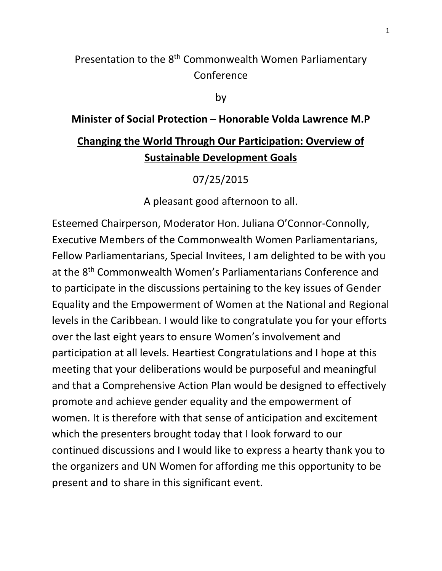## Presentation to the 8<sup>th</sup> Commonwealth Women Parliamentary Conference

by

## **Minister of Social Protection – Honorable Volda Lawrence M.P**

## **Changing the World Through Our Participation: Overview of Sustainable Development Goals**

07/25/2015

A pleasant good afternoon to all.

Esteemed Chairperson, Moderator Hon. Juliana O'Connor-Connolly, Executive Members of the Commonwealth Women Parliamentarians, Fellow Parliamentarians, Special Invitees, I am delighted to be with you at the 8th Commonwealth Women's Parliamentarians Conference and to participate in the discussions pertaining to the key issues of Gender Equality and the Empowerment of Women at the National and Regional levels in the Caribbean. I would like to congratulate you for your efforts over the last eight years to ensure Women's involvement and participation at all levels. Heartiest Congratulations and I hope at this meeting that your deliberations would be purposeful and meaningful and that a Comprehensive Action Plan would be designed to effectively promote and achieve gender equality and the empowerment of women. It is therefore with that sense of anticipation and excitement which the presenters brought today that I look forward to our continued discussions and I would like to express a hearty thank you to the organizers and UN Women for affording me this opportunity to be present and to share in this significant event.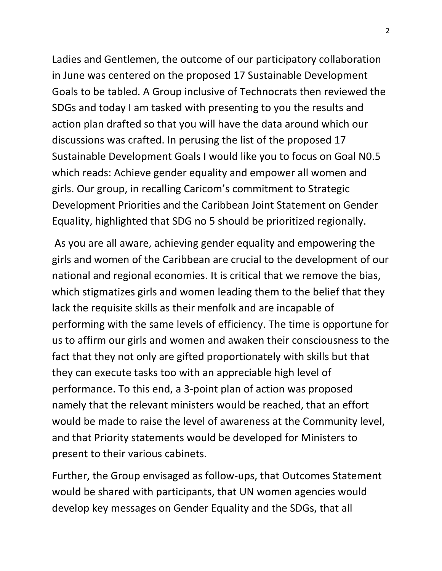Ladies and Gentlemen, the outcome of our participatory collaboration in June was centered on the proposed 17 Sustainable Development Goals to be tabled. A Group inclusive of Technocrats then reviewed the SDGs and today I am tasked with presenting to you the results and action plan drafted so that you will have the data around which our discussions was crafted. In perusing the list of the proposed 17 Sustainable Development Goals I would like you to focus on Goal N0.5 which reads: Achieve gender equality and empower all women and girls. Our group, in recalling Caricom's commitment to Strategic Development Priorities and the Caribbean Joint Statement on Gender Equality, highlighted that SDG no 5 should be prioritized regionally.

As you are all aware, achieving gender equality and empowering the girls and women of the Caribbean are crucial to the development of our national and regional economies. It is critical that we remove the bias, which stigmatizes girls and women leading them to the belief that they lack the requisite skills as their menfolk and are incapable of performing with the same levels of efficiency. The time is opportune for us to affirm our girls and women and awaken their consciousness to the fact that they not only are gifted proportionately with skills but that they can execute tasks too with an appreciable high level of performance. To this end, a 3-point plan of action was proposed namely that the relevant ministers would be reached, that an effort would be made to raise the level of awareness at the Community level, and that Priority statements would be developed for Ministers to present to their various cabinets.

Further, the Group envisaged as follow-ups, that Outcomes Statement would be shared with participants, that UN women agencies would develop key messages on Gender Equality and the SDGs, that all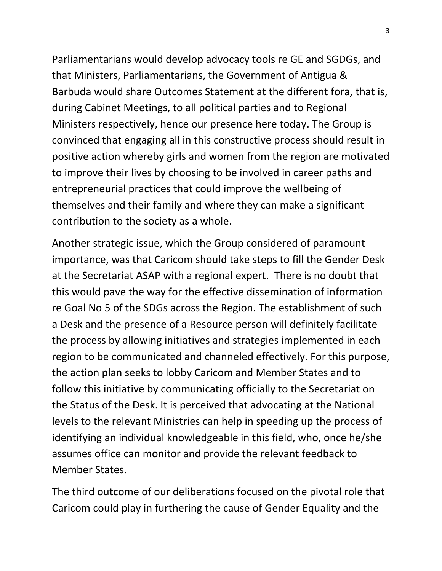Parliamentarians would develop advocacy tools re GE and SGDGs, and that Ministers, Parliamentarians, the Government of Antigua & Barbuda would share Outcomes Statement at the different fora, that is, during Cabinet Meetings, to all political parties and to Regional Ministers respectively, hence our presence here today. The Group is convinced that engaging all in this constructive process should result in positive action whereby girls and women from the region are motivated to improve their lives by choosing to be involved in career paths and entrepreneurial practices that could improve the wellbeing of themselves and their family and where they can make a significant contribution to the society as a whole.

Another strategic issue, which the Group considered of paramount importance, was that Caricom should take steps to fill the Gender Desk at the Secretariat ASAP with a regional expert. There is no doubt that this would pave the way for the effective dissemination of information re Goal No 5 of the SDGs across the Region. The establishment of such a Desk and the presence of a Resource person will definitely facilitate the process by allowing initiatives and strategies implemented in each region to be communicated and channeled effectively. For this purpose, the action plan seeks to lobby Caricom and Member States and to follow this initiative by communicating officially to the Secretariat on the Status of the Desk. It is perceived that advocating at the National levels to the relevant Ministries can help in speeding up the process of identifying an individual knowledgeable in this field, who, once he/she assumes office can monitor and provide the relevant feedback to Member States.

The third outcome of our deliberations focused on the pivotal role that Caricom could play in furthering the cause of Gender Equality and the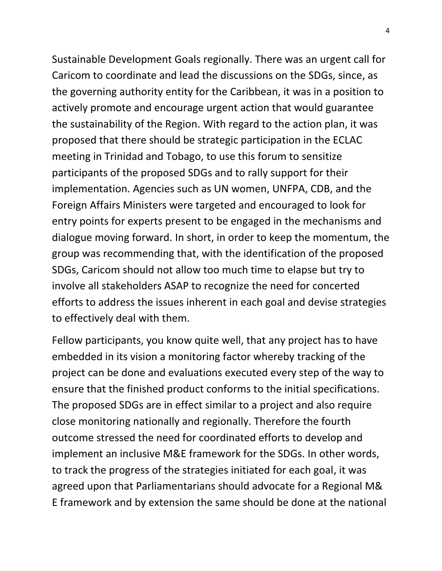Sustainable Development Goals regionally. There was an urgent call for Caricom to coordinate and lead the discussions on the SDGs, since, as the governing authority entity for the Caribbean, it was in a position to actively promote and encourage urgent action that would guarantee the sustainability of the Region. With regard to the action plan, it was proposed that there should be strategic participation in the ECLAC meeting in Trinidad and Tobago, to use this forum to sensitize participants of the proposed SDGs and to rally support for their implementation. Agencies such as UN women, UNFPA, CDB, and the Foreign Affairs Ministers were targeted and encouraged to look for entry points for experts present to be engaged in the mechanisms and dialogue moving forward. In short, in order to keep the momentum, the group was recommending that, with the identification of the proposed SDGs, Caricom should not allow too much time to elapse but try to involve all stakeholders ASAP to recognize the need for concerted efforts to address the issues inherent in each goal and devise strategies to effectively deal with them.

Fellow participants, you know quite well, that any project has to have embedded in its vision a monitoring factor whereby tracking of the project can be done and evaluations executed every step of the way to ensure that the finished product conforms to the initial specifications. The proposed SDGs are in effect similar to a project and also require close monitoring nationally and regionally. Therefore the fourth outcome stressed the need for coordinated efforts to develop and implement an inclusive M&E framework for the SDGs. In other words, to track the progress of the strategies initiated for each goal, it was agreed upon that Parliamentarians should advocate for a Regional M& E framework and by extension the same should be done at the national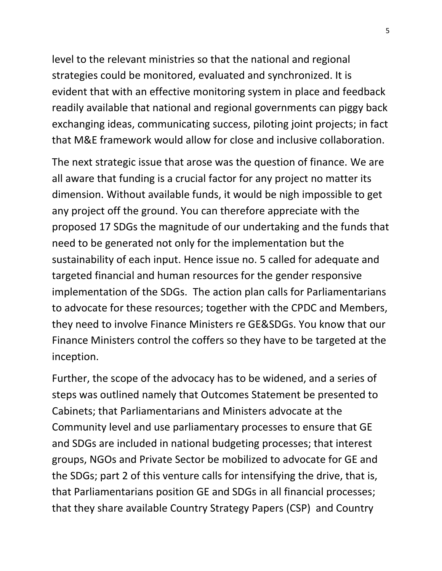level to the relevant ministries so that the national and regional strategies could be monitored, evaluated and synchronized. It is evident that with an effective monitoring system in place and feedback readily available that national and regional governments can piggy back exchanging ideas, communicating success, piloting joint projects; in fact that M&E framework would allow for close and inclusive collaboration.

The next strategic issue that arose was the question of finance. We are all aware that funding is a crucial factor for any project no matter its dimension. Without available funds, it would be nigh impossible to get any project off the ground. You can therefore appreciate with the proposed 17 SDGs the magnitude of our undertaking and the funds that need to be generated not only for the implementation but the sustainability of each input. Hence issue no. 5 called for adequate and targeted financial and human resources for the gender responsive implementation of the SDGs. The action plan calls for Parliamentarians to advocate for these resources; together with the CPDC and Members, they need to involve Finance Ministers re GE&SDGs. You know that our Finance Ministers control the coffers so they have to be targeted at the inception.

Further, the scope of the advocacy has to be widened, and a series of steps was outlined namely that Outcomes Statement be presented to Cabinets; that Parliamentarians and Ministers advocate at the Community level and use parliamentary processes to ensure that GE and SDGs are included in national budgeting processes; that interest groups, NGOs and Private Sector be mobilized to advocate for GE and the SDGs; part 2 of this venture calls for intensifying the drive, that is, that Parliamentarians position GE and SDGs in all financial processes; that they share available Country Strategy Papers (CSP) and Country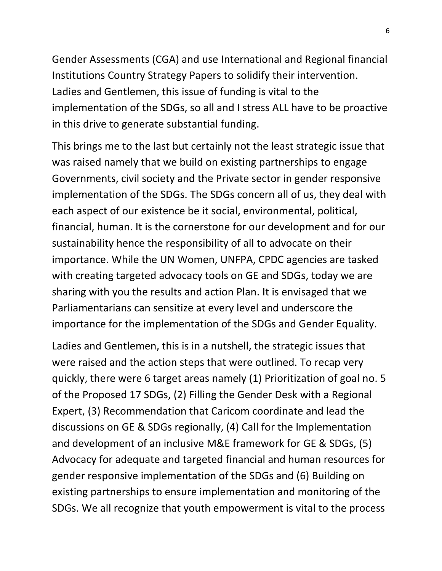Gender Assessments (CGA) and use International and Regional financial Institutions Country Strategy Papers to solidify their intervention. Ladies and Gentlemen, this issue of funding is vital to the implementation of the SDGs, so all and I stress ALL have to be proactive in this drive to generate substantial funding.

This brings me to the last but certainly not the least strategic issue that was raised namely that we build on existing partnerships to engage Governments, civil society and the Private sector in gender responsive implementation of the SDGs. The SDGs concern all of us, they deal with each aspect of our existence be it social, environmental, political, financial, human. It is the cornerstone for our development and for our sustainability hence the responsibility of all to advocate on their importance. While the UN Women, UNFPA, CPDC agencies are tasked with creating targeted advocacy tools on GE and SDGs, today we are sharing with you the results and action Plan. It is envisaged that we Parliamentarians can sensitize at every level and underscore the importance for the implementation of the SDGs and Gender Equality.

Ladies and Gentlemen, this is in a nutshell, the strategic issues that were raised and the action steps that were outlined. To recap very quickly, there were 6 target areas namely (1) Prioritization of goal no. 5 of the Proposed 17 SDGs, (2) Filling the Gender Desk with a Regional Expert, (3) Recommendation that Caricom coordinate and lead the discussions on GE & SDGs regionally, (4) Call for the Implementation and development of an inclusive M&E framework for GE & SDGs, (5) Advocacy for adequate and targeted financial and human resources for gender responsive implementation of the SDGs and (6) Building on existing partnerships to ensure implementation and monitoring of the SDGs. We all recognize that youth empowerment is vital to the process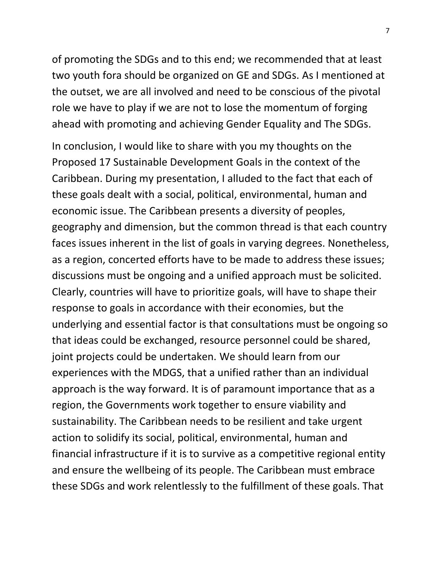of promoting the SDGs and to this end; we recommended that at least two youth fora should be organized on GE and SDGs. As I mentioned at the outset, we are all involved and need to be conscious of the pivotal role we have to play if we are not to lose the momentum of forging ahead with promoting and achieving Gender Equality and The SDGs.

In conclusion, I would like to share with you my thoughts on the Proposed 17 Sustainable Development Goals in the context of the Caribbean. During my presentation, I alluded to the fact that each of these goals dealt with a social, political, environmental, human and economic issue. The Caribbean presents a diversity of peoples, geography and dimension, but the common thread is that each country faces issues inherent in the list of goals in varying degrees. Nonetheless, as a region, concerted efforts have to be made to address these issues; discussions must be ongoing and a unified approach must be solicited. Clearly, countries will have to prioritize goals, will have to shape their response to goals in accordance with their economies, but the underlying and essential factor is that consultations must be ongoing so that ideas could be exchanged, resource personnel could be shared, joint projects could be undertaken. We should learn from our experiences with the MDGS, that a unified rather than an individual approach is the way forward. It is of paramount importance that as a region, the Governments work together to ensure viability and sustainability. The Caribbean needs to be resilient and take urgent action to solidify its social, political, environmental, human and financial infrastructure if it is to survive as a competitive regional entity and ensure the wellbeing of its people. The Caribbean must embrace these SDGs and work relentlessly to the fulfillment of these goals. That